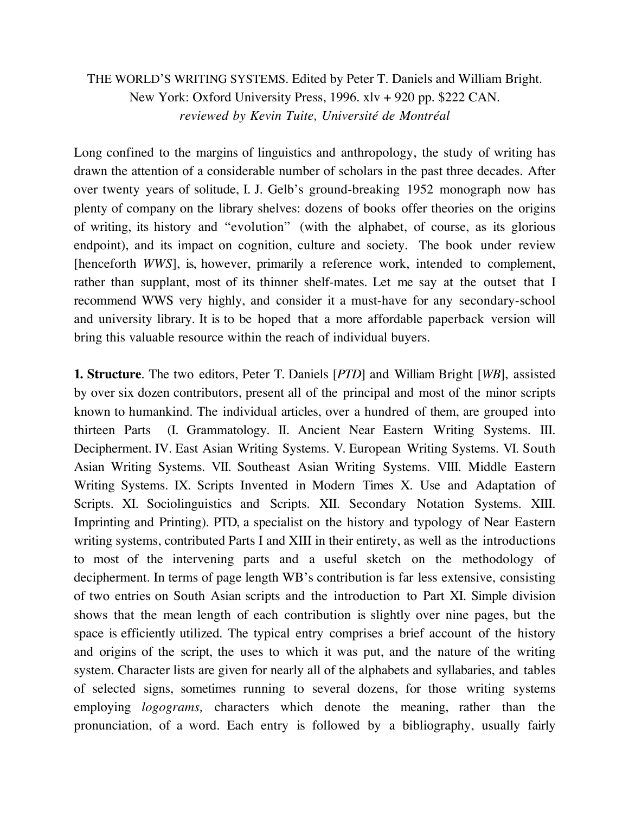# THE WORLD'S WRITING SYSTEMS. Edited by Peter T. Daniels and William Bright. New York: Oxford University Press, 1996. xlv + 920 pp. \$222 CAN. *reviewed by Kevin Tuite, Université de Montréal*

Long confined to the margins of linguistics and anthropology, the study of writing has drawn the attention of a considerable number of scholars in the past three decades. After over twenty years of solitude, I. J. Gelb's ground-breaking 1952 monograph now has plenty of company on the library shelves: dozens of books offer theories on the origins of writing, its history and "evolution" (with the alphabet, of course, as its glorious endpoint), and its impact on cognition, culture and society. The book under review [henceforth *WWS*], is, however, primarily a reference work, intended to complement, rather than supplant, most of its thinner shelf-mates. Let me say at the outset that I recommend WWS very highly, and consider it a must-have for any secondary-school and university library. It is to be hoped that a more affordable paperback version will bring this valuable resource within the reach of individual buyers.

**1. Structure**. The two editors, Peter T. Daniels [*PTD*] and William Bright [*WB*], assisted by over six dozen contributors, present all of the principal and most of the minor scripts known to humankind. The individual articles, over a hundred of them, are grouped into thirteen Parts (I. Grammatology. II. Ancient Near Eastern Writing Systems. III. Decipherment. IV. East Asian Writing Systems. V. European Writing Systems. VI. South Asian Writing Systems. VII. Southeast Asian Writing Systems. VIII. Middle Eastern Writing Systems. IX. Scripts Invented in Modern Times X. Use and Adaptation of Scripts. XI. Sociolinguistics and Scripts. XII. Secondary Notation Systems. XIII. Imprinting and Printing). PTD, a specialist on the history and typology of Near Eastern writing systems, contributed Parts I and XIII in their entirety, as well as the introductions to most of the intervening parts and a useful sketch on the methodology of decipherment. In terms of page length WB's contribution is far less extensive, consisting of two entries on South Asian scripts and the introduction to Part XI. Simple division shows that the mean length of each contribution is slightly over nine pages, but the space is efficiently utilized. The typical entry comprises a brief account of the history and origins of the script, the uses to which it was put, and the nature of the writing system. Character lists are given for nearly all of the alphabets and syllabaries, and tables of selected signs, sometimes running to several dozens, for those writing systems employing *logograms,* characters which denote the meaning, rather than the pronunciation, of a word. Each entry is followed by a bibliography, usually fairly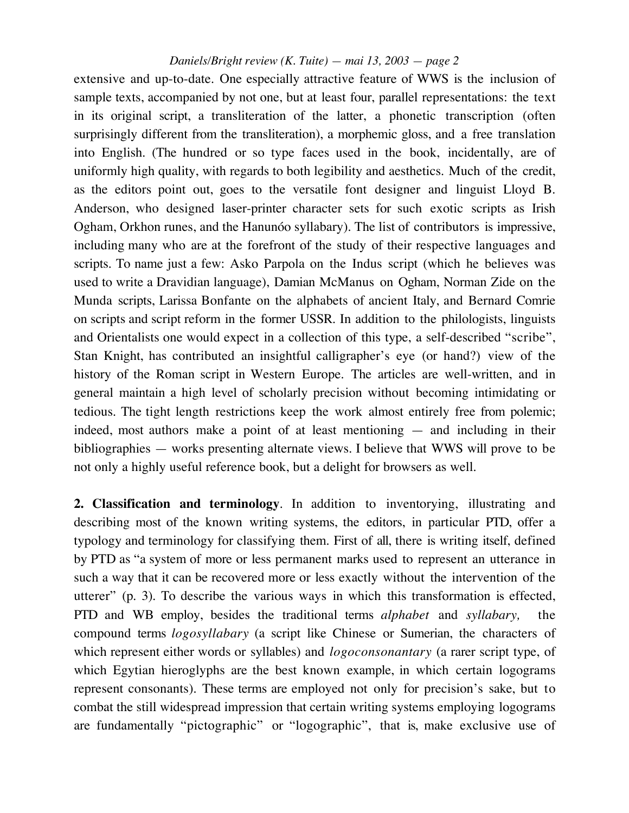extensive and up-to-date. One especially attractive feature of WWS is the inclusion of sample texts, accompanied by not one, but at least four, parallel representations: the text in its original script, a transliteration of the latter, a phonetic transcription (often surprisingly different from the transliteration), a morphemic gloss, and a free translation into English. (The hundred or so type faces used in the book, incidentally, are of uniformly high quality, with regards to both legibility and aesthetics. Much of the credit, as the editors point out, goes to the versatile font designer and linguist Lloyd B. Anderson, who designed laser-printer character sets for such exotic scripts as Irish Ogham, Orkhon runes, and the Hanunóo syllabary). The list of contributors is impressive, including many who are at the forefront of the study of their respective languages and scripts. To name just a few: Asko Parpola on the Indus script (which he believes was used to write a Dravidian language), Damian McManus on Ogham, Norman Zide on the Munda scripts, Larissa Bonfante on the alphabets of ancient Italy, and Bernard Comrie on scripts and script reform in the former USSR. In addition to the philologists, linguists and Orientalists one would expect in a collection of this type, a self-described "scribe", Stan Knight, has contributed an insightful calligrapher's eye (or hand?) view of the history of the Roman script in Western Europe. The articles are well-written, and in general maintain a high level of scholarly precision without becoming intimidating or tedious. The tight length restrictions keep the work almost entirely free from polemic; indeed, most authors make a point of at least mentioning — and including in their bibliographies — works presenting alternate views. I believe that WWS will prove to be not only a highly useful reference book, but a delight for browsers as well.

**2. Classification and terminology**. In addition to inventorying, illustrating and describing most of the known writing systems, the editors, in particular PTD, offer a typology and terminology for classifying them. First of all, there is writing itself, defined by PTD as "a system of more or less permanent marks used to represent an utterance in such a way that it can be recovered more or less exactly without the intervention of the utterer" (p. 3). To describe the various ways in which this transformation is effected, PTD and WB employ, besides the traditional terms *alphabet* and *syllabary,* the compound terms *logosyllabary* (a script like Chinese or Sumerian, the characters of which represent either words or syllables) and *logoconsonantary* (a rarer script type, of which Egytian hieroglyphs are the best known example, in which certain logograms represent consonants). These terms are employed not only for precision's sake, but to combat the still widespread impression that certain writing systems employing logograms are fundamentally "pictographic" or "logographic", that is, make exclusive use of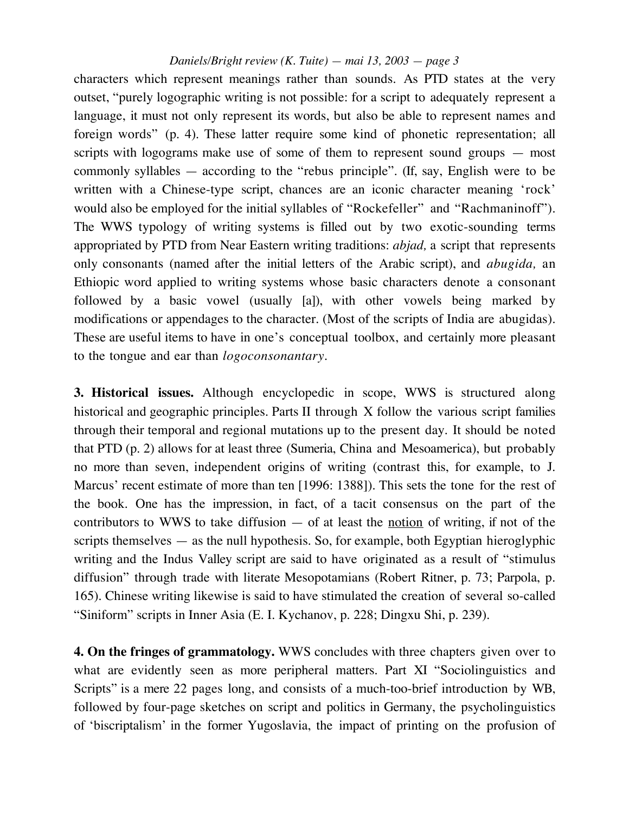characters which represent meanings rather than sounds. As PTD states at the very outset, "purely logographic writing is not possible: for a script to adequately represent a language, it must not only represent its words, but also be able to represent names and foreign words" (p. 4). These latter require some kind of phonetic representation; all scripts with logograms make use of some of them to represent sound groups — most commonly syllables — according to the "rebus principle". (If, say, English were to be written with a Chinese-type script, chances are an iconic character meaning 'rock' would also be employed for the initial syllables of "Rockefeller" and "Rachmaninoff"). The WWS typology of writing systems is filled out by two exotic-sounding terms appropriated by PTD from Near Eastern writing traditions: *abjad,* a script that represents only consonants (named after the initial letters of the Arabic script), and *abugida,* an Ethiopic word applied to writing systems whose basic characters denote a consonant followed by a basic vowel (usually [a]), with other vowels being marked by modifications or appendages to the character. (Most of the scripts of India are abugidas). These are useful items to have in one's conceptual toolbox, and certainly more pleasant to the tongue and ear than *logoconsonantary.*

**3. Historical issues.** Although encyclopedic in scope, WWS is structured along historical and geographic principles. Parts II through X follow the various script families through their temporal and regional mutations up to the present day. It should be noted that PTD (p. 2) allows for at least three (Sumeria, China and Mesoamerica), but probably no more than seven, independent origins of writing (contrast this, for example, to J. Marcus' recent estimate of more than ten [1996: 1388]). This sets the tone for the rest of the book. One has the impression, in fact, of a tacit consensus on the part of the contributors to WWS to take diffusion  $-$  of at least the notion of writing, if not of the scripts themselves — as the null hypothesis. So, for example, both Egyptian hieroglyphic writing and the Indus Valley script are said to have originated as a result of "stimulus diffusion" through trade with literate Mesopotamians (Robert Ritner, p. 73; Parpola, p. 165). Chinese writing likewise is said to have stimulated the creation of several so-called "Siniform" scripts in Inner Asia (E. I. Kychanov, p. 228; Dingxu Shi, p. 239).

**4. On the fringes of grammatology.** WWS concludes with three chapters given over to what are evidently seen as more peripheral matters. Part XI "Sociolinguistics and Scripts" is a mere 22 pages long, and consists of a much-too-brief introduction by WB, followed by four-page sketches on script and politics in Germany, the psycholinguistics of 'biscriptalism' in the former Yugoslavia, the impact of printing on the profusion of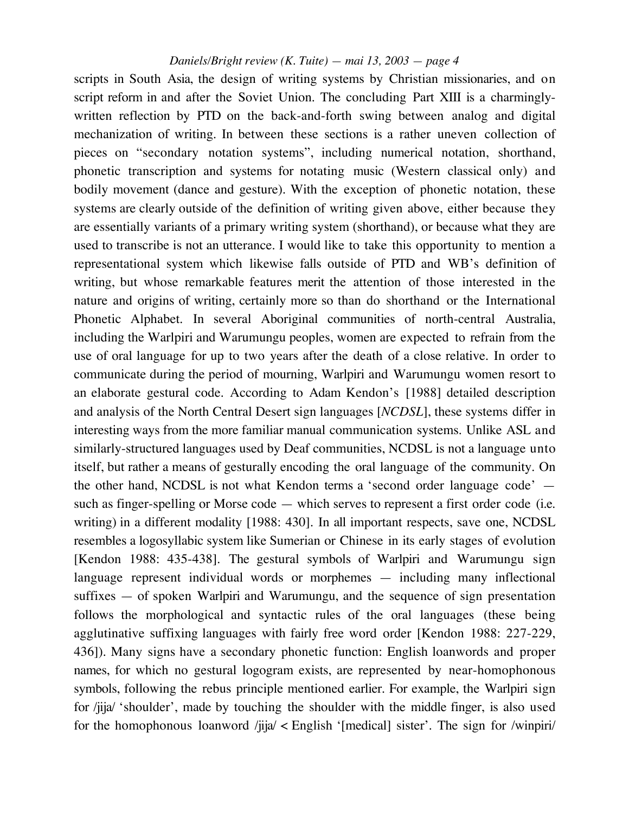scripts in South Asia, the design of writing systems by Christian missionaries, and on script reform in and after the Soviet Union. The concluding Part XIII is a charminglywritten reflection by PTD on the back-and-forth swing between analog and digital mechanization of writing. In between these sections is a rather uneven collection of pieces on "secondary notation systems", including numerical notation, shorthand, phonetic transcription and systems for notating music (Western classical only) and bodily movement (dance and gesture). With the exception of phonetic notation, these systems are clearly outside of the definition of writing given above, either because they are essentially variants of a primary writing system (shorthand), or because what they are used to transcribe is not an utterance. I would like to take this opportunity to mention a representational system which likewise falls outside of PTD and WB's definition of writing, but whose remarkable features merit the attention of those interested in the nature and origins of writing, certainly more so than do shorthand or the International Phonetic Alphabet. In several Aboriginal communities of north-central Australia, including the Warlpiri and Warumungu peoples, women are expected to refrain from the use of oral language for up to two years after the death of a close relative. In order to communicate during the period of mourning, Warlpiri and Warumungu women resort to an elaborate gestural code. According to Adam Kendon's [1988] detailed description and analysis of the North Central Desert sign languages [*NCDSL*], these systems differ in interesting ways from the more familiar manual communication systems. Unlike ASL and similarly-structured languages used by Deaf communities, NCDSL is not a language unto itself, but rather a means of gesturally encoding the oral language of the community. On the other hand, NCDSL is not what Kendon terms a 'second order language code' such as finger-spelling or Morse code — which serves to represent a first order code (i.e. writing) in a different modality [1988: 430]. In all important respects, save one, NCDSL resembles a logosyllabic system like Sumerian or Chinese in its early stages of evolution [Kendon 1988: 435-438]. The gestural symbols of Warlpiri and Warumungu sign language represent individual words or morphemes — including many inflectional suffixes — of spoken Warlpiri and Warumungu, and the sequence of sign presentation follows the morphological and syntactic rules of the oral languages (these being agglutinative suffixing languages with fairly free word order [Kendon 1988: 227-229, 436]). Many signs have a secondary phonetic function: English loanwords and proper names, for which no gestural logogram exists, are represented by near-homophonous symbols, following the rebus principle mentioned earlier. For example, the Warlpiri sign for /jija/ 'shoulder', made by touching the shoulder with the middle finger, is also used for the homophonous loanword /jija/ < English '[medical] sister'. The sign for /winpiri/